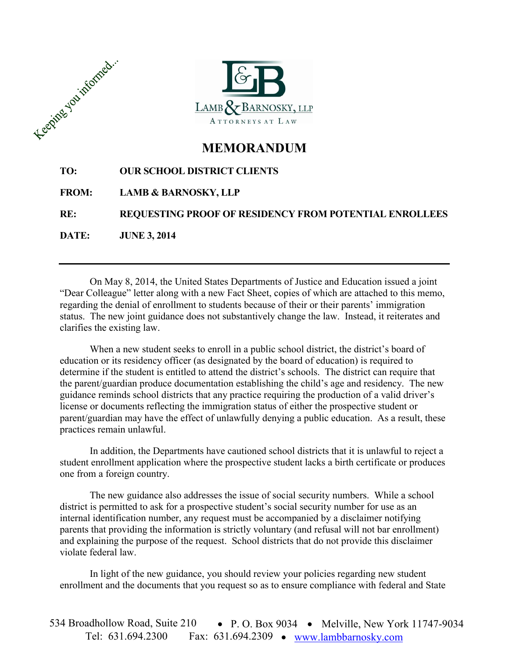



# **MEMORANDUM**

### **TO: OUR SCHOOL DISTRICT CLIENTS**

## **FROM: LAMB & BARNOSKY, LLP**

**RE: REQUESTING PROOF OF RESIDENCY FROM POTENTIAL ENROLLEES**

**DATE: JUNE 3, 2014**

On May 8, 2014, the United States Departments of Justice and Education issued a joint "Dear Colleague" letter along with a new Fact Sheet, copies of which are attached to this memo, regarding the denial of enrollment to students because of their or their parents' immigration status. The new joint guidance does not substantively change the law. Instead, it reiterates and clarifies the existing law.

When a new student seeks to enroll in a public school district, the district's board of education or its residency officer (as designated by the board of education) is required to determine if the student is entitled to attend the district's schools. The district can require that the parent/guardian produce documentation establishing the child's age and residency. The new guidance reminds school districts that any practice requiring the production of a valid driver's license or documents reflecting the immigration status of either the prospective student or parent/guardian may have the effect of unlawfully denying a public education. As a result, these practices remain unlawful.

In addition, the Departments have cautioned school districts that it is unlawful to reject a student enrollment application where the prospective student lacks a birth certificate or produces one from a foreign country.

The new guidance also addresses the issue of social security numbers. While a school district is permitted to ask for a prospective student's social security number for use as an internal identification number, any request must be accompanied by a disclaimer notifying parents that providing the information is strictly voluntary (and refusal will not bar enrollment) and explaining the purpose of the request. School districts that do not provide this disclaimer violate federal law.

In light of the new guidance, you should review your policies regarding new student enrollment and the documents that you request so as to ensure compliance with federal and State

534 Broadhollow Road, Suite 210 • P. O. Box 9034 • Melville, New York 11747-9034 Tel: 631.694.2300 Fax: 631.694.2309 www.lambbarnosky.com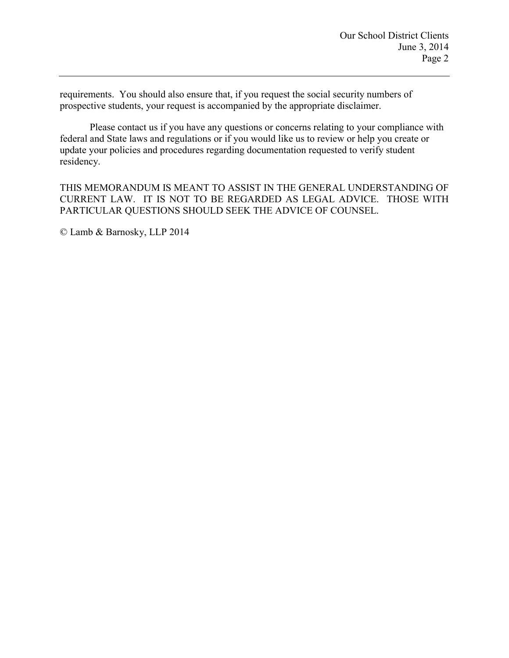requirements. You should also ensure that, if you request the social security numbers of prospective students, your request is accompanied by the appropriate disclaimer.

Please contact us if you have any questions or concerns relating to your compliance with federal and State laws and regulations or if you would like us to review or help you create or update your policies and procedures regarding documentation requested to verify student residency.

THIS MEMORANDUM IS MEANT TO ASSIST IN THE GENERAL UNDERSTANDING OF CURRENT LAW. IT IS NOT TO BE REGARDED AS LEGAL ADVICE. THOSE WITH PARTICULAR QUESTIONS SHOULD SEEK THE ADVICE OF COUNSEL.

© Lamb & Barnosky, LLP 2014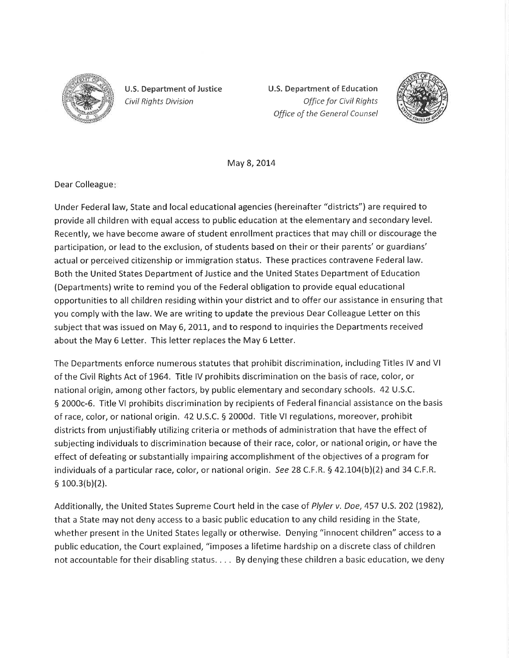

U.S. Department of Justice Civil Rights Division

U.S. Department of Education Offîce for Civil Rights Office of the Generol Counsel



May 8, 2014

Dear Colleague

Under Federal law, State and local educational agencies (hereinafter "districts") are required to provide all children with equal access to public education at the elementary and secondary level. Recently, we have become aware of student enrollment practices that may chill or discourage the participation, or lead to the exclusion, of students based on their or their parents' or guardians' actual or perceived citizenship or immigration status. These practices contravene Federal law. Both the United States Department of Justice and the United States Department of Education (Departments) write to remind you of the Federal obligation to provide equal educational opportunities to all children residing within your district and to offer our assistance in ensuring that you comply with the law. We are writing to update the previous Dear Colleague Letter on this subject that was issued on May 6, 2011, and to respond to inquiries the Departments received about the May 6 Letter. This letter replaces the May 6 Letter.

The Departments enforce numerous statutes that prohibit discrimination, including Titles lV and Vl of the Civil Rights Act of 1964. Title lV prohibits discrimination on the basis of race, color, or national origin, among other factors, by public elementary and secondary schools. 42 U.S.C. 5 2000c-6. Title Vl prohibits discrimination by recipients of Federalfinancial assistance on the basis of race, color, or national origin. 42 U.S.C. S 2000d. Title Vl regulations, moreover, prohibit districts from unjustifiably utilizing criteria or methods of administration that have the effect of subjecting individuals to discrimination because of their race, color, or national origin, or have the effect of defeating or substantially impairing accomplishment of the objectives of a program for individuals of a particular race, color, or national origin. See 28 C.F.R.  $\S$  42.104(b)(2) and 34 C.F.R.  $$100.3(b)(2).$ 

Additionally, the United States Supreme Court held in the case of Plyler v. Doe, 457 U.S. 202 (1982), that a State may not deny access to a basic public education to any child residing in the State, whether present in the United States legally or otherwise. Denying "innocent children" access to <sup>a</sup> public education, the Court explained, "imposes a lifetime hardship on a discrete class of children not accountable for their disabling status. . . . By denying these children a basic education, we deny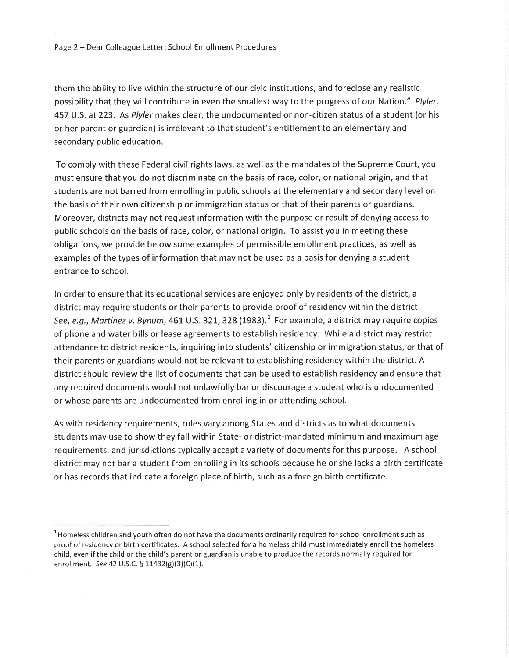them the ability to live within the structure of our civic institutions, and foreclose any realistic possibility that they will contribute in even the smallest way to the progress of our Nation." Plyler, 457 U.S. at 223. As Plyler makes clear, the undocumented or non-citizen status of a student (or his or her parent or guardian) is irrelevant to that student's entitlement to an elementary and secondary public education.

To comply with these Federal civil rights laws, as well as the mandates of the Supreme Court, you must ensure that you do not discriminate on the basis of race, color, or national origin, and that students are not barred from enrolling in public schools at the elementary and secondary level on the basis of their own citizenship or immigration status or that of their parents or guardians. Moreover, districts may not request information with the purpose or result of denying access to public schools on the basis of race, color, or national origin. To assist you in meeting these obligations, we provide below some examples of permissible enrollment practices, as well as examples of the types of information that may not be used as a basis for denying a student entrance to school.

In order to ensure that its educational services are enjoyed only by residents of the district, a district may require students or their parents to provide proof of residency within the district. See, e.g., Martinez v. Bynum, 461 U.S. 321, 328 (1983).<sup>1</sup> For example, a district may require copies of phone and water bills or lease agreements to establish residency. While a district may restrict attendance to district residents, inquiring into students' citizenship or immigration status, or that of their parents or guardians would not be relevant to establishing residency within the district. A district should review the list of documents that can be used to establish residency and ensure that any required documents would not unlawfully bar or discourage a student who is undocumented or whose parents are undocumented from enrolling in or attending school.

As with residency requirements, rules vary among States and districts as to what documents students may use to show they fall within State- or district-mandated minimum and maximum age requirements, and jurisdictions typically accept a variety of documents for this purpose. A school district may not bar a student from enrolling in its schools because he or she lacks a birth certificate or has records that indicate a foreign place of birth, such as a foreign birth certificate.

 $^{\rm 1}$ Homeless children and youth often do not have the documents ordinarily required for school enrollment such as proof of residency or birth certificates. A school selected for a homeless child must immediately enroll the homeless child, even if the child or the child's parent or guardian is unable to produce the records normally required for enrollment. See 42 U.S.C. § 11432(g)(3)(C)(1).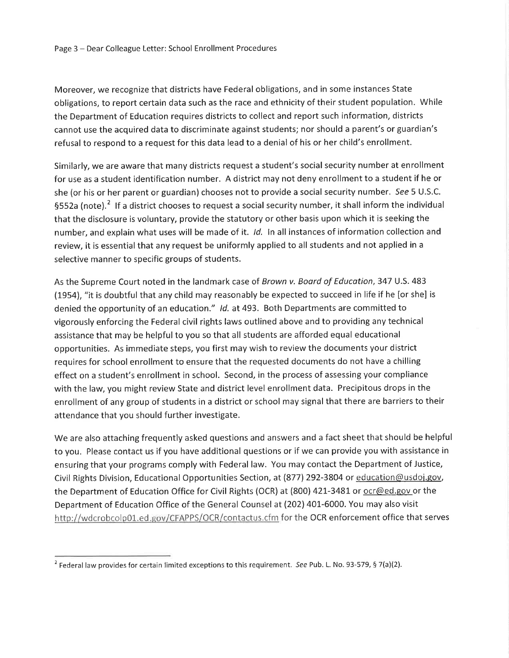Moreover, we recognize that districts have Federal obligations, and in some instances State obligations, to report certain data such as the race and ethnicity of their student population. While the Department of Education requires districts to collect and report such information, districts cannot use the acquired data to discriminate against students; nor should a parent's or guardian's refusal to respond to a request for this data lead to a denial of his or her child's enrollment.

Similarly, we are aware that many districts request a student's social security number at enrollment for use as a student identification number. A district may not deny enrollment to a student if he or she (or his or her parent or guardian) chooses not to provide a social security number. See 5 U.S.C.  $5552a$  (note).<sup>2</sup> If a district chooses to request a social security number, it shall inform the individual that the disclosure is voluntary, provide the statutory or other basis upon which it is seeking the number, and explain what uses will be made of it. *Id.* In all instances of information collection and review, it is essential that any request be uniformly applied to all students and not applied in <sup>a</sup> selective manner to specific groups of students.

As the Supreme Court noted in the landmark case of Brown v. Board of Education, 347 U.S. 483 (1954), "it is doubtful that any child may reasonably be expected to succeed in life if he [or she] is denied the opportunity of an education." Id. at 493. Both Departments are committed to vigorously enforcing the Federal civil rights laws outlined above and to providing any technical assistance that may be helpful to you so that all students are afforded equal educational opportunities. As immediate steps, you first may wish to review the documents your district requires for school enrollment to ensure that the requested documents do not have a chilling effect on a student's enrollment in school. Second, in the process of assessing your compliance with the law, you might review State and district level enrollment data. Precipitous drops in the enrollment of any group of students in a district or school may signal that there are barriers to their attendance that you should further investigate.

We are also attaching frequently asked questions and answers and a fact sheet that should be helpful to you. Please contact us if you have additional questions or if we can provide you with assistance in ensuring that your programs comply with Federal law. You may contact the Department of Justice, Civil Rights Division, Educational Opportunities Section, at (877) 292-3804 or education@usdoi.gov, the Department of Education Office for Civil Rights (OCR) at (800) 421-3481 or ocr@ed.gov or the Department of Education Office of the General Counsel at(2O2) 401-6000. You may also visit http://wdcrobcolp01.ed.gov/CFAPPS/OCR/contactus.cfm for the OCR enforcement office that serves

<sup>&</sup>lt;sup>2</sup> Federal law provides for certain limited exceptions to this requirement. See Pub. L. No. 93-579, § 7(a)(2).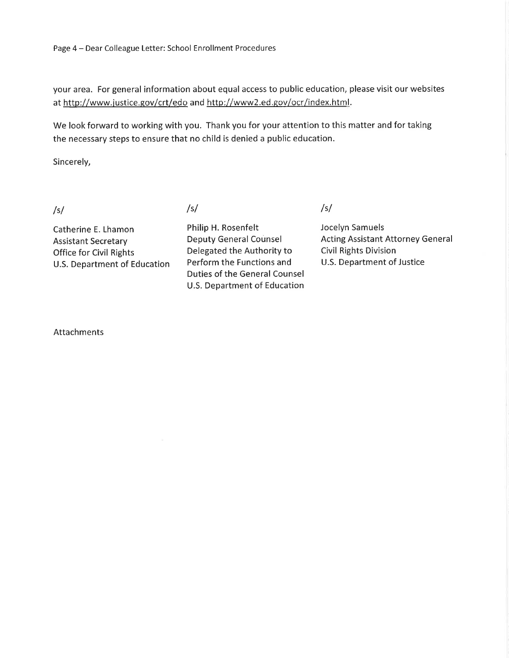your area. For general information about equal access to public education, please visit our websites at http://www.justice.gov/crt/edo and http://www2.ed.gov/ocr/index.html.

We look forward to working with you. Thank you for your attention to this matter and for taking the necessary steps to ensure that no child is denied a public education.

Sincerely,

Catherine E. Lhamon Assistant Secretary Office for Civil Rights U.S. Department of Education

/sl /sl /sl

Philip H. Rosenfelt Deputy General Counsel Delegated the Authority to Perform the Functions and Duties of the General Counsel U.S. Department of Education

Jocelyn Samuels Acting Assistant Attorney General Civil Rights Division U.S. Department of Justice

Attachments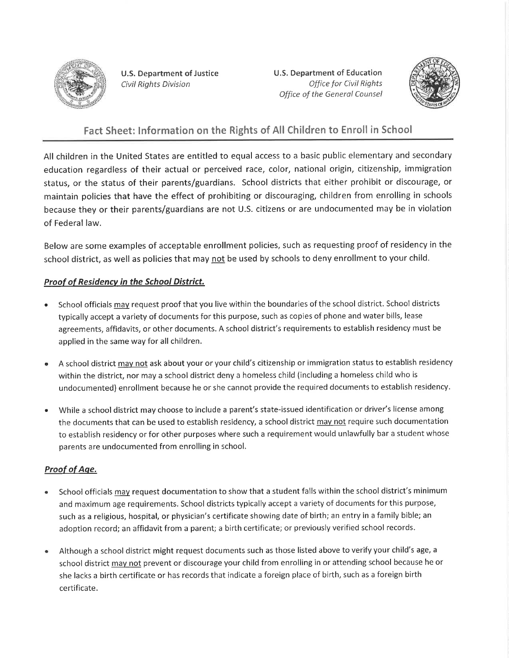

U.S. Department of Justice Civil Rights Division

U.S. Department of Education Office for Civil Rights Office of the Generol Counsel



## Fact Sheet: lnformation on the Rights of All Children to Enroll in School

All children in the United States are entitled to equal access to a basic public elementary and secondary education regardless of their actual or perceived race, color, national origin, citizenship, immigration status, or the status of their parents/guardians. School districts that either prohibit or discourage, or maintain policies that have the effect of prohibiting or discouraging, children from enrolling in schools because they or their parents/guardians are not U.S. citizens or are undocumented may be in violation of Federal law.

Below are some examples of acceptable enrollment policies, such as requesting proof of residency in the school district, as well as policies that may <u>not</u> be used by schools to deny enrollment to your child.

#### **Proof of Residency in the School District.**

- a School officials may request proof that you live within the boundaries of the school district. School districts typically accept a variety of documents for this purpose, such as copies of phone and water bills, lease agreements, affidavits, or other documents. A school district's requirements to establish residency must be applied in the same way for all children.
- A school district may not ask about your or your child's citizenship or immigration status to establish residency  $\ddot{\phantom{0}}$ within the district, nor may a school district deny a homeless child (including a homeless child who is undocumented) enrollment because he or she cannot provide the required documents to establish residency.
- While a school district may choose to include a parent's state-issued identification or driver's license among the documents that can be used to establish residency, a school district may not require such documentation to establish residency or for other purposes where such a requirement would unlawfully bar a student whose parents are undocumented from enrolling in school. a

#### Proof of Aae.

- School officials may request documentation to show that a student falls within the school district's minimum and maximum age requirements. School districts typically accept a variety of documents for this purpose, such as a religious, hospital, or physician's certificate showing date of birth; an entry in a family bible; an adoption record; an affidavit from a parent; a birth certificate; or previously verified school records. a
- Although a school district might request documents such as those listed above to verify your child's age, <sup>a</sup> school district may not prevent or discourage your child from enrolling in or attending school because he or she lacks a birth certificate or has records that indicate a foreign place of birth, such as a foreign birth certificate. a